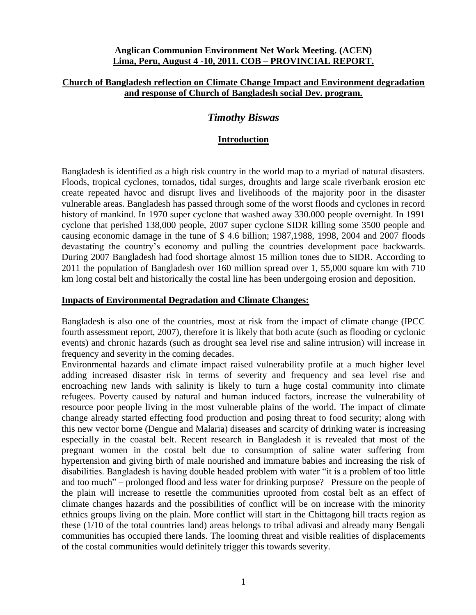### **Anglican Communion Environment Net Work Meeting. (ACEN) Lima, Peru, August 4 -10, 2011. COB – PROVINCIAL REPORT.**

### **Church of Bangladesh reflection on Climate Change Impact and Environment degradation and response of Church of Bangladesh social Dev. program.**

# *Timothy Biswas*

## **Introduction**

Bangladesh is identified as a high risk country in the world map to a myriad of natural disasters. Floods, tropical cyclones, tornados, tidal surges, droughts and large scale riverbank erosion etc create repeated havoc and disrupt lives and livelihoods of the majority poor in the disaster vulnerable areas. Bangladesh has passed through some of the worst floods and cyclones in record history of mankind. In 1970 super cyclone that washed away 330.000 people overnight. In 1991 cyclone that perished 138,000 people, 2007 super cyclone SIDR killing some 3500 people and causing economic damage in the tune of \$ 4.6 billion; 1987,1988, 1998, 2004 and 2007 floods devastating the country's economy and pulling the countries development pace backwards. During 2007 Bangladesh had food shortage almost 15 million tones due to SIDR. According to 2011 the population of Bangladesh over 160 million spread over 1, 55,000 square km with 710 km long costal belt and historically the costal line has been undergoing erosion and deposition.

### **Impacts of Environmental Degradation and Climate Changes:**

Bangladesh is also one of the countries, most at risk from the impact of climate change (IPCC fourth assessment report, 2007), therefore it is likely that both acute (such as flooding or cyclonic events) and chronic hazards (such as drought sea level rise and saline intrusion) will increase in frequency and severity in the coming decades.

Environmental hazards and climate impact raised vulnerability profile at a much higher level adding increased disaster risk in terms of severity and frequency and sea level rise and encroaching new lands with salinity is likely to turn a huge costal community into climate refugees. Poverty caused by natural and human induced factors, increase the vulnerability of resource poor people living in the most vulnerable plains of the world. The impact of climate change already started effecting food production and posing threat to food security; along with this new vector borne (Dengue and Malaria) diseases and scarcity of drinking water is increasing especially in the coastal belt. Recent research in Bangladesh it is revealed that most of the pregnant women in the costal belt due to consumption of saline water suffering from hypertension and giving birth of male nourished and immature babies and increasing the risk of disabilities. Bangladesh is having double headed problem with water "it is a problem of too little and too much" – prolonged flood and less water for drinking purpose? Pressure on the people of the plain will increase to resettle the communities uprooted from costal belt as an effect of climate changes hazards and the possibilities of conflict will be on increase with the minority ethnics groups living on the plain. More conflict will start in the Chittagong hill tracts region as these (1/10 of the total countries land) areas belongs to tribal adivasi and already many Bengali communities has occupied there lands. The looming threat and visible realities of displacements of the costal communities would definitely trigger this towards severity.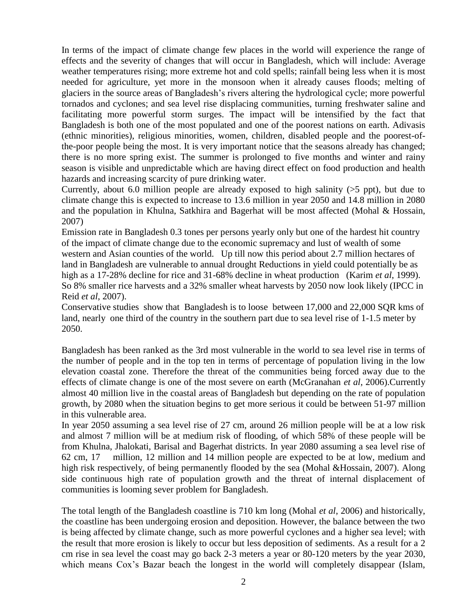In terms of the impact of climate change few places in the world will experience the range of effects and the severity of changes that will occur in Bangladesh, which will include: Average weather temperatures rising; more extreme hot and cold spells; rainfall being less when it is most needed for agriculture, yet more in the monsoon when it already causes floods; melting of glaciers in the source areas of Bangladesh's rivers altering the hydrological cycle; more powerful tornados and cyclones; and sea level rise displacing communities, turning freshwater saline and facilitating more powerful storm surges. The impact will be intensified by the fact that Bangladesh is both one of the most populated and one of the poorest nations on earth. Adivasis (ethnic minorities), religious minorities, women, children, disabled people and the poorest-ofthe-poor people being the most. It is very important notice that the seasons already has changed; there is no more spring exist. The summer is prolonged to five months and winter and rainy season is visible and unpredictable which are having direct effect on food production and health hazards and increasing scarcity of pure drinking water.

Currently, about 6.0 million people are already exposed to high salinity  $(>5$  ppt), but due to climate change this is expected to increase to 13.6 million in year 2050 and 14.8 million in 2080 and the population in Khulna, Satkhira and Bagerhat will be most affected (Mohal & Hossain, 2007)

Emission rate in Bangladesh 0.3 tones per persons yearly only but one of the hardest hit country of the impact of climate change due to the economic supremacy and lust of wealth of some western and Asian counties of the world. Up till now this period about 2.7 million hectares of land in Bangladesh are vulnerable to annual drought Reductions in yield could potentially be as high as a 17-28% decline for rice and 31-68% decline in wheat production (Karim *et al*, 1999). So 8% smaller rice harvests and a 32% smaller wheat harvests by 2050 now look likely (IPCC in Reid *et al*, 2007).

Conservative studies show that Bangladesh is to loose between 17,000 and 22,000 SQR kms of land, nearly one third of the country in the southern part due to sea level rise of 1-1.5 meter by 2050.

Bangladesh has been ranked as the 3rd most vulnerable in the world to sea level rise in terms of the number of people and in the top ten in terms of percentage of population living in the low elevation coastal zone. Therefore the threat of the communities being forced away due to the effects of climate change is one of the most severe on earth (McGranahan *et al*, 2006).Currently almost 40 million live in the coastal areas of Bangladesh but depending on the rate of population growth, by 2080 when the situation begins to get more serious it could be between 51-97 million in this vulnerable area.

In year 2050 assuming a sea level rise of 27 cm, around 26 million people will be at a low risk and almost 7 million will be at medium risk of flooding, of which 58% of these people will be from Khulna, Jhalokati, Barisal and Bagerhat districts. In year 2080 assuming a sea level rise of 62 cm, 17 million, 12 million and 14 million people are expected to be at low, medium and high risk respectively, of being permanently flooded by the sea (Mohal &Hossain, 2007). Along side continuous high rate of population growth and the threat of internal displacement of communities is looming sever problem for Bangladesh.

The total length of the Bangladesh coastline is 710 km long (Mohal *et al*, 2006) and historically, the coastline has been undergoing erosion and deposition. However, the balance between the two is being affected by climate change, such as more powerful cyclones and a higher sea level; with the result that more erosion is likely to occur but less deposition of sediments. As a result for a 2 cm rise in sea level the coast may go back 2-3 meters a year or 80-120 meters by the year 2030, which means Cox's Bazar beach the longest in the world will completely disappear (Islam,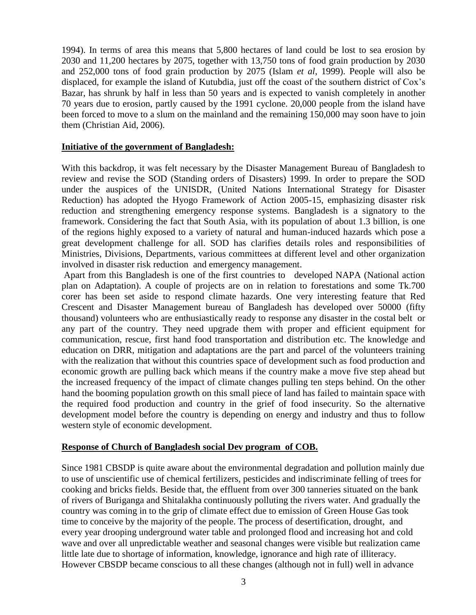1994). In terms of area this means that 5,800 hectares of land could be lost to sea erosion by 2030 and 11,200 hectares by 2075, together with 13,750 tons of food grain production by 2030 and 252,000 tons of food grain production by 2075 (Islam *et al*, 1999). People will also be displaced, for example the island of Kutubdia, just off the coast of the southern district of Cox's Bazar, has shrunk by half in less than 50 years and is expected to vanish completely in another 70 years due to erosion, partly caused by the 1991 cyclone. 20,000 people from the island have been forced to move to a slum on the mainland and the remaining 150,000 may soon have to join them (Christian Aid, 2006).

### **Initiative of the government of Bangladesh:**

With this backdrop, it was felt necessary by the Disaster Management Bureau of Bangladesh to review and revise the SOD (Standing orders of Disasters) 1999. In order to prepare the SOD under the auspices of the UNISDR, (United Nations International Strategy for Disaster Reduction) has adopted the Hyogo Framework of Action 2005-15, emphasizing disaster risk reduction and strengthening emergency response systems. Bangladesh is a signatory to the framework. Considering the fact that South Asia, with its population of about 1.3 billion, is one of the regions highly exposed to a variety of natural and human-induced hazards which pose a great development challenge for all. SOD has clarifies details roles and responsibilities of Ministries, Divisions, Departments, various committees at different level and other organization involved in disaster risk reduction and emergency management.

Apart from this Bangladesh is one of the first countries to developed NAPA (National action plan on Adaptation). A couple of projects are on in relation to forestations and some Tk.700 corer has been set aside to respond climate hazards. One very interesting feature that Red Crescent and Disaster Management bureau of Bangladesh has developed over 50000 (fifty thousand) volunteers who are enthusiastically ready to response any disaster in the costal belt or any part of the country. They need upgrade them with proper and efficient equipment for communication, rescue, first hand food transportation and distribution etc. The knowledge and education on DRR, mitigation and adaptations are the part and parcel of the volunteers training with the realization that without this countries space of development such as food production and economic growth are pulling back which means if the country make a move five step ahead but the increased frequency of the impact of climate changes pulling ten steps behind. On the other hand the booming population growth on this small piece of land has failed to maintain space with the required food production and country in the grief of food insecurity. So the alternative development model before the country is depending on energy and industry and thus to follow western style of economic development.

# **Response of Church of Bangladesh social Dev program of COB.**

Since 1981 CBSDP is quite aware about the environmental degradation and pollution mainly due to use of unscientific use of chemical fertilizers, pesticides and indiscriminate felling of trees for cooking and bricks fields. Beside that, the effluent from over 300 tanneries situated on the bank of rivers of Buriganga and Shitalakha continuously polluting the rivers water. And gradually the country was coming in to the grip of climate effect due to emission of Green House Gas took time to conceive by the majority of the people. The process of desertification, drought, and every year drooping underground water table and prolonged flood and increasing hot and cold wave and over all unpredictable weather and seasonal changes were visible but realization came little late due to shortage of information, knowledge, ignorance and high rate of illiteracy. However CBSDP became conscious to all these changes (although not in full) well in advance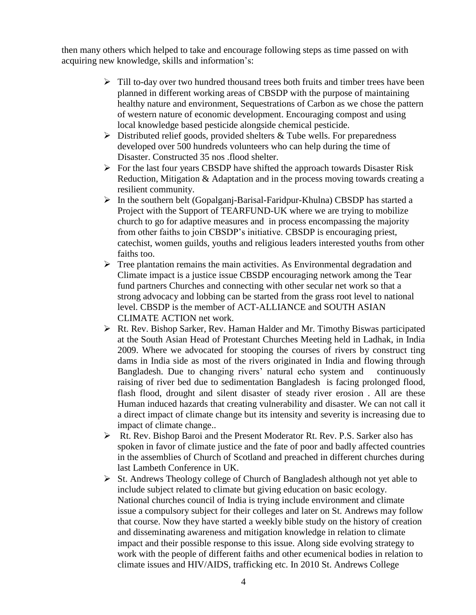then many others which helped to take and encourage following steps as time passed on with acquiring new knowledge, skills and information's:

- $\triangleright$  Till to-day over two hundred thousand trees both fruits and timber trees have been planned in different working areas of CBSDP with the purpose of maintaining healthy nature and environment, Sequestrations of Carbon as we chose the pattern of western nature of economic development. Encouraging compost and using local knowledge based pesticide alongside chemical pesticide.
- $\triangleright$  Distributed relief goods, provided shelters & Tube wells. For preparedness developed over 500 hundreds volunteers who can help during the time of Disaster. Constructed 35 nos .flood shelter.
- $\triangleright$  For the last four years CBSDP have shifted the approach towards Disaster Risk Reduction, Mitigation & Adaptation and in the process moving towards creating a resilient community.
- $\triangleright$  In the southern belt (Gopalganj-Barisal-Faridpur-Khulna) CBSDP has started a Project with the Support of TEARFUND-UK where we are trying to mobilize church to go for adaptive measures and in process encompassing the majority from other faiths to join CBSDP's initiative. CBSDP is encouraging priest, catechist, women guilds, youths and religious leaders interested youths from other faiths too.
- $\triangleright$  Tree plantation remains the main activities. As Environmental degradation and Climate impact is a justice issue CBSDP encouraging network among the Tear fund partners Churches and connecting with other secular net work so that a strong advocacy and lobbing can be started from the grass root level to national level. CBSDP is the member of ACT-ALLIANCE and SOUTH ASIAN CLIMATE ACTION net work.
- Rt. Rev. Bishop Sarker, Rev. Haman Halder and Mr. Timothy Biswas participated at the South Asian Head of Protestant Churches Meeting held in Ladhak, in India 2009. Where we advocated for stooping the courses of rivers by construct ting dams in India side as most of the rivers originated in India and flowing through Bangladesh. Due to changing rivers' natural echo system and continuously raising of river bed due to sedimentation Bangladesh is facing prolonged flood, flash flood, drought and silent disaster of steady river erosion . All are these Human induced hazards that creating vulnerability and disaster. We can not call it a direct impact of climate change but its intensity and severity is increasing due to impact of climate change..
- Rt. Rev. Bishop Baroi and the Present Moderator Rt. Rev. P.S. Sarker also has spoken in favor of climate justice and the fate of poor and badly affected countries in the assemblies of Church of Scotland and preached in different churches during last Lambeth Conference in UK.
- $\triangleright$  St. Andrews Theology college of Church of Bangladesh although not yet able to include subject related to climate but giving education on basic ecology. National churches council of India is trying include environment and climate issue a compulsory subject for their colleges and later on St. Andrews may follow that course. Now they have started a weekly bible study on the history of creation and disseminating awareness and mitigation knowledge in relation to climate impact and their possible response to this issue. Along side evolving strategy to work with the people of different faiths and other ecumenical bodies in relation to climate issues and HIV/AIDS, trafficking etc. In 2010 St. Andrews College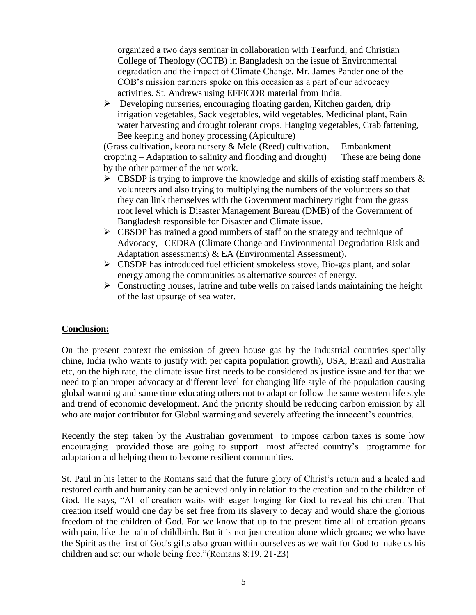organized a two days seminar in collaboration with Tearfund, and Christian College of Theology (CCTB) in Bangladesh on the issue of Environmental degradation and the impact of Climate Change. Mr. James Pander one of the COB's mission partners spoke on this occasion as a part of our advocacy activities. St. Andrews using EFFICOR material from India.

 Developing nurseries, encouraging floating garden, Kitchen garden, drip irrigation vegetables, Sack vegetables, wild vegetables, Medicinal plant, Rain water harvesting and drought tolerant crops. Hanging vegetables, Crab fattening, Bee keeping and honey processing (Apiculture)

(Grass cultivation, keora nursery  $\&$  Mele (Reed) cultivation, Embankment cropping – Adaptation to salinity and flooding and drought) These are being done by the other partner of the net work.

- $\triangleright$  CBSDP is trying to improve the knowledge and skills of existing staff members & volunteers and also trying to multiplying the numbers of the volunteers so that they can link themselves with the Government machinery right from the grass root level which is Disaster Management Bureau (DMB) of the Government of Bangladesh responsible for Disaster and Climate issue.
- $\triangleright$  CBSDP has trained a good numbers of staff on the strategy and technique of Advocacy, CEDRA (Climate Change and Environmental Degradation Risk and Adaptation assessments) & EA (Environmental Assessment).
- CBSDP has introduced fuel efficient smokeless stove, Bio-gas plant, and solar energy among the communities as alternative sources of energy.
- $\triangleright$  Constructing houses, latrine and tube wells on raised lands maintaining the height of the last upsurge of sea water.

# **Conclusion:**

On the present context the emission of green house gas by the industrial countries specially chine, India (who wants to justify with per capita population growth), USA, Brazil and Australia etc, on the high rate, the climate issue first needs to be considered as justice issue and for that we need to plan proper advocacy at different level for changing life style of the population causing global warming and same time educating others not to adapt or follow the same western life style and trend of economic development. And the priority should be reducing carbon emission by all who are major contributor for Global warming and severely affecting the innocent's countries.

Recently the step taken by the Australian government to impose carbon taxes is some how encouraging provided those are going to support most affected country's programme for adaptation and helping them to become resilient communities.

St. Paul in his letter to the Romans said that the future glory of Christ's return and a healed and restored earth and humanity can be achieved only in relation to the creation and to the children of God. He says, "All of creation waits with eager longing for God to reveal his children. That creation itself would one day be set free from its slavery to decay and would share the glorious freedom of the children of God. For we know that up to the present time all of creation groans with pain, like the pain of childbirth. But it is not just creation alone which groans; we who have the Spirit as the first of God's gifts also groan within ourselves as we wait for God to make us his children and set our whole being free."(Romans 8:19, 21-23)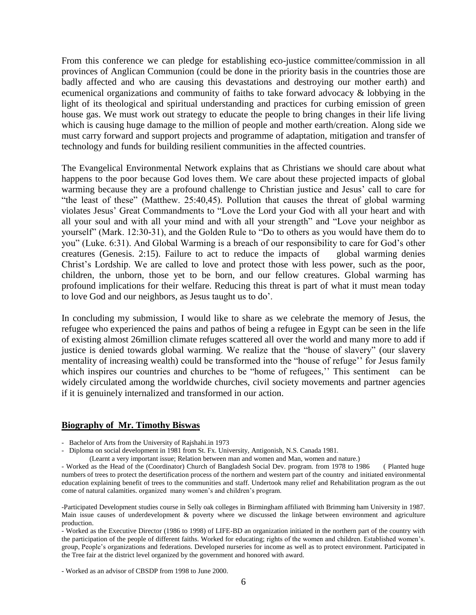From this conference we can pledge for establishing eco-justice committee/commission in all provinces of Anglican Communion (could be done in the priority basis in the countries those are badly affected and who are causing this devastations and destroying our mother earth) and ecumenical organizations and community of faiths to take forward advocacy & lobbying in the light of its theological and spiritual understanding and practices for curbing emission of green house gas. We must work out strategy to educate the people to bring changes in their life living which is causing huge damage to the million of people and mother earth/creation. Along side we must carry forward and support projects and programme of adaptation, mitigation and transfer of technology and funds for building resilient communities in the affected countries.

The Evangelical Environmental Network explains that as Christians we should care about what happens to the poor because God loves them. We care about these projected impacts of global warming because they are a profound challenge to Christian justice and Jesus' call to care for "the least of these" (Matthew. 25:40,45). Pollution that causes the threat of global warming violates Jesus' Great Commandments to "Love the Lord your God with all your heart and with all your soul and with all your mind and with all your strength" and "Love your neighbor as yourself" (Mark. 12:30-31), and the Golden Rule to "Do to others as you would have them do to you" (Luke. 6:31). And Global Warming is a breach of our responsibility to care for God's other creatures (Genesis. 2:15). Failure to act to reduce the impacts of global warming denies Christ's Lordship. We are called to love and protect those with less power, such as the poor, children, the unborn, those yet to be born, and our fellow creatures. Global warming has profound implications for their welfare. Reducing this threat is part of what it must mean today to love God and our neighbors, as Jesus taught us to do'.

In concluding my submission, I would like to share as we celebrate the memory of Jesus, the refugee who experienced the pains and pathos of being a refugee in Egypt can be seen in the life of existing almost 26million climate refuges scattered all over the world and many more to add if justice is denied towards global warming. We realize that the "house of slavery" (our slavery mentality of increasing wealth) could be transformed into the "house of refuge'' for Jesus family which inspires our countries and churches to be "home of refugees," This sentiment can be widely circulated among the worldwide churches, civil society movements and partner agencies if it is genuinely internalized and transformed in our action.

#### **Biography of Mr. Timothy Biswas**

- Bachelor of Arts from the University of Rajshahi.in 1973

- Diploma on social development in 1981 from St. Fx. University, Antigonish, N.S. Canada 1981.

(Learnt a very important issue; Relation between man and women and Man, women and nature.)

- Worked as the Head of the (Coordinator) Church of Bangladesh Social Dev. program. from 1978 to 1986 ( Planted huge numbers of trees to protect the desertification process of the northern and western part of the country and initiated environmental education explaining benefit of trees to the communities and staff. Undertook many relief and Rehabilitation program as the out come of natural calamities. organized many women's and children's program.

-Participated Development studies course in Selly oak colleges in Birmingham affiliated with Brimming ham University in 1987. Main issue causes of underdevelopment & poverty where we discussed the linkage between environment and agriculture production.

- Worked as the Executive Director (1986 to 1998) of LIFE-BD an organization initiated in the northern part of the country with the participation of the people of different faiths. Worked for educating; rights of the women and children. Established women's. group, People's organizations and federations. Developed nurseries for income as well as to protect environment. Participated in the Tree fair at the district level organized by the government and honored with award.

- Worked as an advisor of CBSDP from 1998 to June 2000.